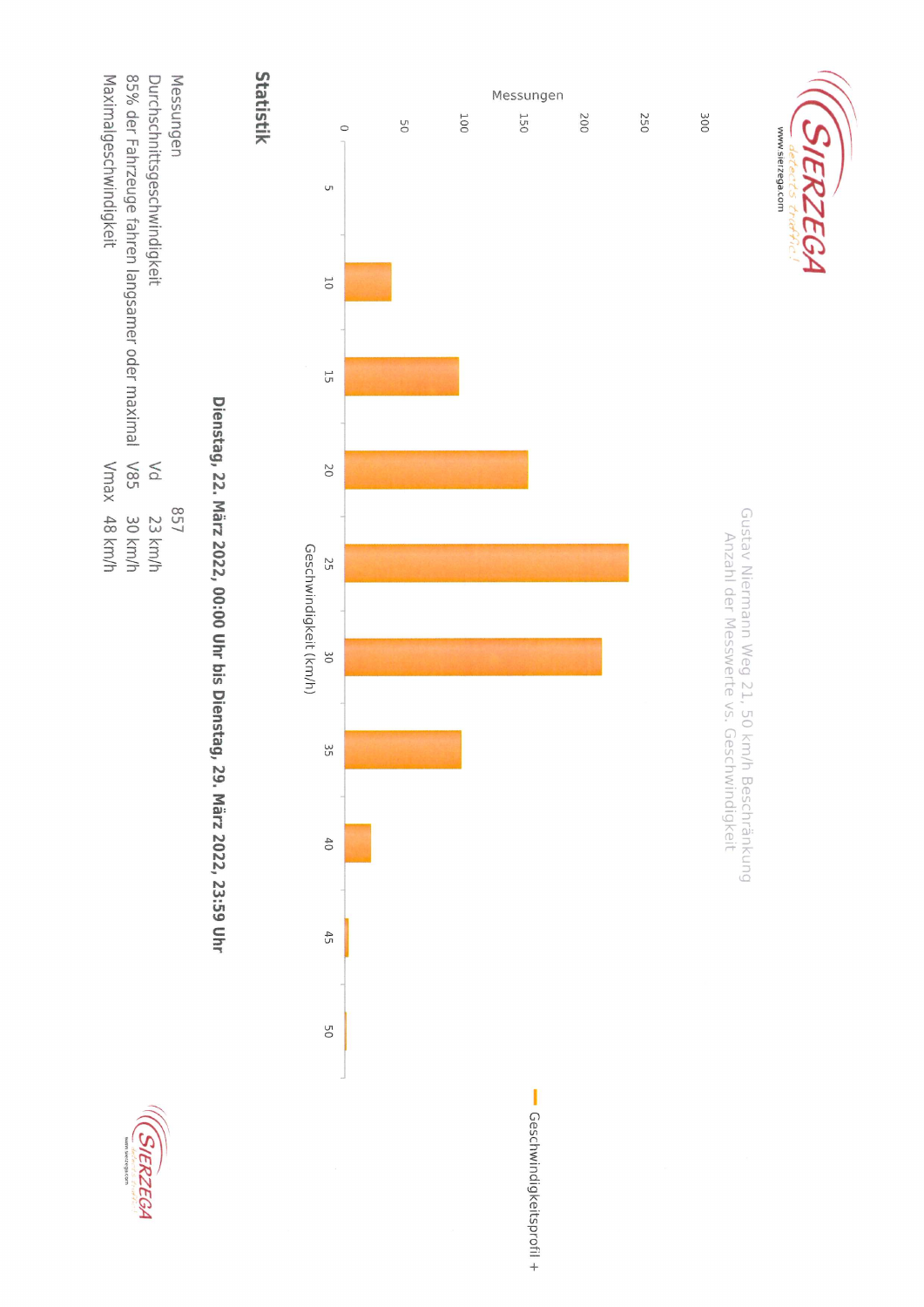

85% der Fahrzeuge fahren langsamer oder maximal V85 Durchschnittsgeschwindigkeit Maximalgeschwindigkeit Messungen  $\leq$ Vmax 48 km/h 657 30 km/h 23 km/h

## Dienstag, 22. März 2022, 00:00 Uhr bis Dienstag, 29. März 2022, 23:59 Uhr





SIERZEGA

www.sierzega.com

Gustav Niermann Weg 21, 50 km/h Beschränkung

Anzahl der Messwerte vs. Geschwindigkeit